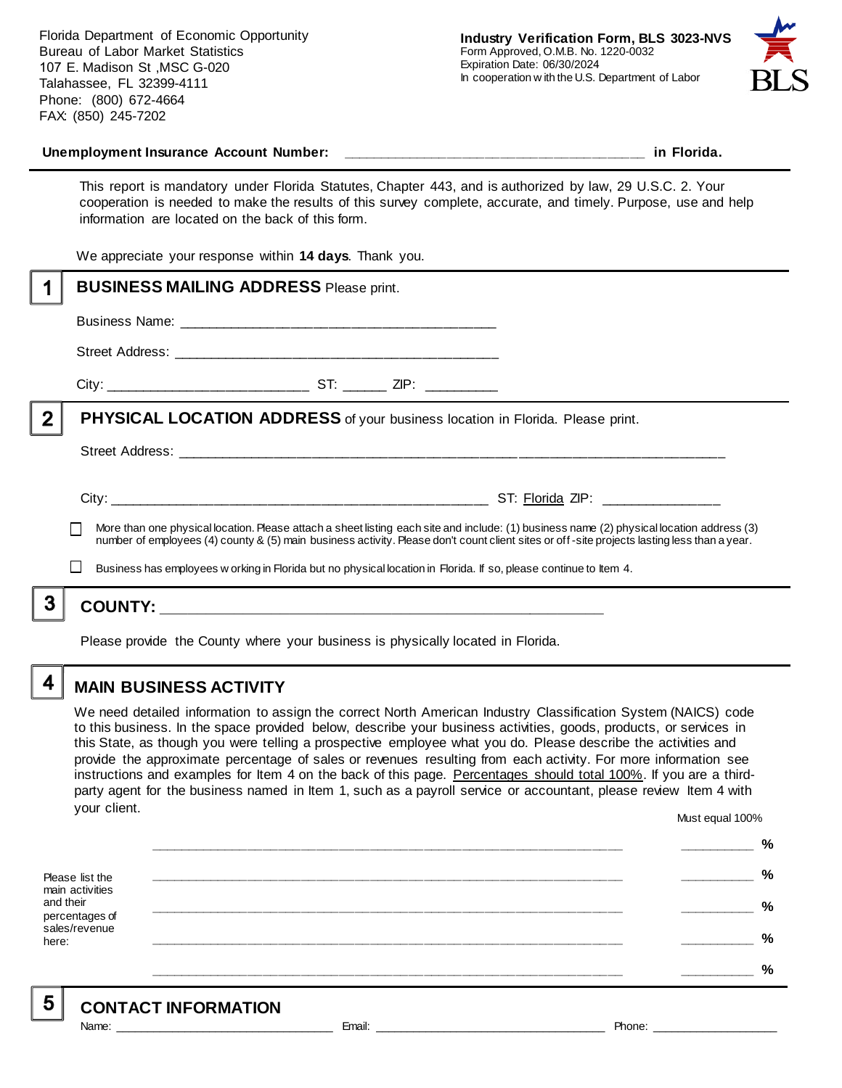Florida Department of Economic Opportunity Bureau of Labor Market Statistics 107 E. Madison St ,MSC G-020 Talahassee, FL 32399-4111 Phone: (800) 672-4664 FAX: (850) 245-7202



#### **Unemployment Insurance Account Number: \_\_\_\_\_\_\_\_\_\_\_\_\_\_\_\_\_\_\_\_\_\_\_\_\_\_\_\_\_\_\_\_\_\_\_\_\_\_\_\_ in Florida.**

This report is mandatory under Florida Statutes, Chapter 443, and is authorized by law, 29 U.S.C. 2. Your cooperation is needed to make the results of this survey complete, accurate, and timely. Purpose, use and help information are located on the back of this form.

We appreciate your response within **14 days**. Thank you.

|   | <b>BUSINESS MAILING ADDRESS Please print.</b>                                                                                                                                                                                                                                            |
|---|------------------------------------------------------------------------------------------------------------------------------------------------------------------------------------------------------------------------------------------------------------------------------------------|
|   |                                                                                                                                                                                                                                                                                          |
|   |                                                                                                                                                                                                                                                                                          |
|   |                                                                                                                                                                                                                                                                                          |
| 2 | PHYSICAL LOCATION ADDRESS of your business location in Florida. Please print.                                                                                                                                                                                                            |
|   |                                                                                                                                                                                                                                                                                          |
|   |                                                                                                                                                                                                                                                                                          |
|   | More than one physical location. Please attach a sheet listing each site and include: (1) business name (2) physical location address (3)<br>number of employees (4) county & (5) main business activity. Please don't count client sites or off-site projects lasting less than a year. |
|   | Business has employees w orking in Florida but no physical location in Florida. If so, please continue to Item 4.                                                                                                                                                                        |
| 3 |                                                                                                                                                                                                                                                                                          |
|   | Please provide the County where your business is physically located in Florida.                                                                                                                                                                                                          |

### **MAIN BUSINESS ACTIVITY**

We need detailed information to assign the correct North American Industry Classification System (NAICS) code to this business. In the space provided below, describe your business activities, goods, products, or services in this State, as though you were telling a prospective employee what you do. Please describe the activities and provide the approximate percentage of sales or revenues resulting from each activity. For more information see instructions and examples for Item 4 on the back of this page. Percentages should total 100%. If you are a thirdparty agent for the business named in Item 1, such as a payroll service or accountant, please review Item 4 with your client. Must equal 100%

Please list the main activities and their percentages of sales/revenue here: **\_\_\_\_\_\_\_\_\_\_\_\_\_\_\_\_\_\_\_\_\_\_\_\_\_\_\_\_\_\_\_\_\_\_\_\_\_\_\_\_\_\_\_\_\_\_\_\_\_\_\_\_\_\_\_\_\_\_\_\_\_\_ \_\_\_\_\_\_\_\_\_\_ % \_\_\_\_\_\_\_\_\_\_\_\_\_\_\_\_\_\_\_\_\_\_\_\_\_\_\_\_\_\_\_\_\_\_\_\_\_\_\_\_\_\_\_\_\_\_\_\_\_\_\_\_\_\_\_\_\_\_\_\_\_\_ \_\_\_\_\_\_\_\_\_\_ % \_\_\_\_\_\_\_\_\_\_\_\_\_\_\_\_\_\_\_\_\_\_\_\_\_\_\_\_\_\_\_\_\_\_\_\_\_\_\_\_\_\_\_\_\_\_\_\_\_\_\_\_\_\_\_\_\_\_\_\_\_\_ \_\_\_\_\_\_\_\_\_\_ % \_\_\_\_\_\_\_\_\_\_\_\_\_\_\_\_\_\_\_\_\_\_\_\_\_\_\_\_\_\_\_\_\_\_\_\_\_\_\_\_\_\_\_\_\_\_\_\_\_\_\_\_\_\_\_\_\_\_\_\_\_\_ \_\_\_\_\_\_\_\_\_\_ % \_\_\_\_\_\_\_\_\_\_\_\_\_\_\_\_\_\_\_\_\_\_\_\_\_\_\_\_\_\_\_\_\_\_\_\_\_\_\_\_\_\_\_\_\_\_\_\_\_\_\_\_\_\_\_\_\_\_\_\_\_\_ \_\_\_\_\_\_\_\_\_\_ %**

5

4